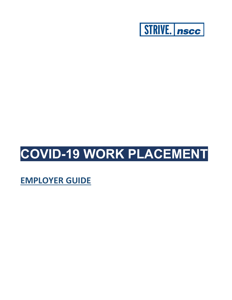

# **COVID-19 WORK PLACEMENT**

**EMPLOYER GUIDE**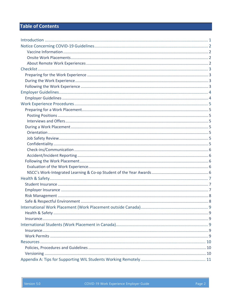## **Table of Contents**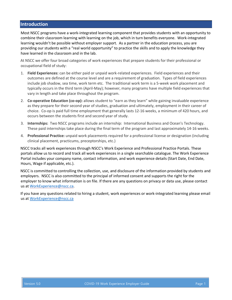## <span id="page-2-0"></span>**Introduction**

Most NSCC programs have a work-integrated learning component that provides students with an opportunity to combine their classroom learning with learning on the job, which in turn benefits everyone. Work-integrated learning wouldn't be possible without employer support. As a partner in the education process, you are providing our students with a "real world opportunity" to practice the skills and to apply the knowledge they have learned in the classroom and in the lab.

At NSCC we offer four broad categories of work experiences that prepare students for their professional or occupational field of study:

- 1. **Field Experiences:** can be either paid or unpaid work-related experiences. Field experiences and their outcomes are defined at the course level and are a requirement of graduation. Types of field experiences include job shadow, sea time, work term etc. The traditional work term is a 5-week work placement and typically occurs in the third term (April-May); however, many programs have multiple field experiences that vary in length and take place throughout the program.
- 2. **Co-operative Education (co-op):** allows student to "earn as they learn" while gaining invaluable experience as they prepare for their second year of studies, graduation and ultimately, employment in their career of choice. Co-op is paid full time employment that generally lasts 12-16 weeks, a minimum of 420 hours, and occurs between the students first and second year of study.
- 3. **Internships:** Two NSCC programs include an internship: International Business and Ocean's Technology. These paid internships take place during the final term of the program and last approximately 14-16 weeks.
- 4. **Professional Practice:** unpaid work placements required for a professional license or designation (including clinical placement, practicums, preceptorships, etc.)

NSCC tracks all work experiences through NSCC's Work Experience and Professional Practice Portals. These portals allow us to record and track all work experiences in a single searchable catalogue. The Work Experience Portal includes your company name, contact information, and work experience details (Start Date, End Date, Hours, Wage if applicable, etc.).

NSCC is committed to controlling the collection, use, and disclosure of the information provided by students and employers. NSCC is also committed to the principal of informed consent and supports the right for the employer to know what information is on file. If there are any questions on privacy or data use, please contact us a[t WorkExperience@nscc.ca.](mailto:WorkExperience@nscc.ca)

If you have any questions related to hiring a student, work experiences or work-integrated learning please email us a[t WorkExperience@nscc.ca](mailto:WorkExperience@nscc.ca)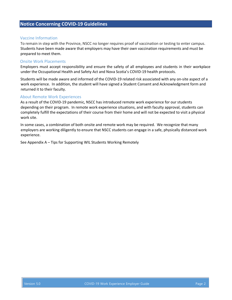## <span id="page-3-0"></span>**Notice Concerning COVID-19 Guidelines**

#### <span id="page-3-1"></span>Vaccine Information

To remain in step with the Province, NSCC no longer requires proof of vaccination or testing to enter campus. Students have been made aware that employers may have their own vaccination requirements and must be prepared to meet them.

#### <span id="page-3-2"></span>Onsite Work Placements

Employers must accept responsibility and ensure the safety of all employees and students in their workplace under the Occupational Health and Safety Act and Nova Scotia's COVID-19 health protocols.

Students will be made aware and informed of the COVID-19 related risk associated with any on-site aspect of a work experience. In addition, the student will have signed a Student Consent and Acknowledgment form and returned it to their faculty.

#### <span id="page-3-3"></span>About Remote Work Experiences

As a result of the COVID-19 pandemic, NSCC has introduced remote work experience for our students depending on their program. In remote work experience situations, and with faculty approval, students can completely fulfill the expectations of their course from their home and will not be expected to visit a physical work site.

In some cases, a combination of both onsite and remote work may be required. We recognize that many employers are working diligently to ensure that NSCC students can engage in a safe, physically distanced work experience.

See Appendix A – Tips for Supporting WIL Students Working Remotely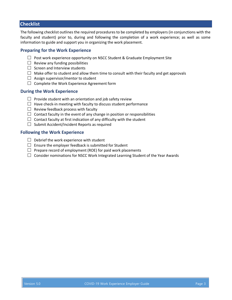## <span id="page-4-0"></span>**Checklist**

The following checklist outlines the required procedures to be completed by employers (in conjunctions with the faculty and student) prior to, during and following the completion of a work experience; as well as some information to guide and support you in organizing the work placement.

## <span id="page-4-1"></span>**Preparing for the Work Experience**

- $\Box$  Post work experience opportunity on NSCC Student & Graduate Employment Site
- $\Box$  Review any funding possibilities
- $\Box$  Screen and Interview students
- $\Box$  Make offer to student and allow them time to consult with their faculty and get approvals
- $\Box$  Assign supervisor/mentor to student
- $\Box$  Complete the Work Experience Agreement form

## <span id="page-4-2"></span>**During the Work Experience**

- $\Box$  Provide student with an orientation and job safety review
- $\Box$  Have check-in meeting with faculty to discuss student performance
- $\Box$  Review feedback process with faculty
- $\Box$  Contact faculty in the event of any change in position or responsibilities
- $\Box$  Contact faculty at first indication of any difficulty with the student
- $\Box$  Submit Accident/Incident Reports as required

## <span id="page-4-3"></span>**Following the Work Experience**

- $\Box$  Debrief the work experience with student
- $\Box$  Ensure the employer feedback is submitted for Student
- $\Box$  Prepare record of employment (ROE) for paid work placements
- $\Box$  Consider nominations for NSCC Work Integrated Learning Student of the Year Awards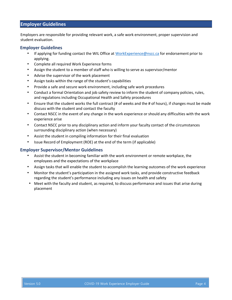## <span id="page-5-0"></span>**Employer Guidelines**

Employers are responsible for providing relevant work, a safe work environment, proper supervision and student evaluation.

#### <span id="page-5-1"></span>**Employer Guidelines**

- If applying for funding contact the WIL Office at [WorkExperience@nscc.ca](mailto:WorkExperience@nscc.ca) for endorsement prior to applying.
- Complete all required Work Experience forms
- Assign the student to a member of staff who is willing to serve as supervisor/mentor
- Advise the supervisor of the work placement
- Assign tasks within the range of the student's capabilities
- Provide a safe and secure work environment, including safe work procedures
- Conduct a formal Orientation and job safety review to inform the student of company policies, rules, and regulations including Occupational Health and Safety procedures
- Ensure that the student works the full contract (# of weeks and the # of hours), if changes must be made discuss with the student and contact the faculty
- Contact NSCC in the event of any change in the work experience or should any difficulties with the work experience arise
- Contact NSCC prior to any disciplinary action and inform your faculty contact of the circumstances surrounding disciplinary action (when necessary)
- Assist the student in compiling information for their final evaluation
- Issue Record of Employment (ROE) at the end of the term (if applicable)

#### **Employer Supervisor/Mentor Guidelines**

- Assist the student in becoming familiar with the work environment or remote workplace, the employees and the expectations of the workplace
- Assign tasks that will enable the student to accomplish the learning outcomes of the work experience
- Monitor the student's participation in the assigned work tasks, and provide constructive feedback regarding the student's performance including any issues on health and safety
- Meet with the faculty and student, as required, to discuss performance and issues that arise during placement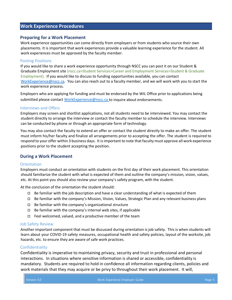## <span id="page-6-0"></span>**Work Experience Procedures**

## <span id="page-6-1"></span>**Preparing for a Work Placement**

Work experience opportunities can come directly from employers or from students who source their own placements. It is important that work experiences provide a valuable learning experience for the student. All work experiences must be approved by the faculty member.

#### <span id="page-6-2"></span>Posting Positions

If you would like to share a work experience opportunity through NSCC you can post it on our Student & Graduate Employment site (nscc.ca>Student Services>Career and Employment Services>Student & Graduate Employment). If you would like to discuss to funding opportunities available, you can contact [WorkExperience@nscc.ca.](mailto:WorkExperience@nscc.ca) You can also reach out to a faculty member, and we will work with you to start the work experience process.

Employers who are applying for funding and must be endorsed by the WIL Office prior to applications being submitted please contact [WorkExperience@nscc.ca](mailto:WorkExperience@nscc.ca) to inquire about endorsements.

#### <span id="page-6-3"></span>Interviews and Offers

Employers may screen and shortlist applications, not all students need to be interviewed. You may contact the student directly to arrange the interview or contact the faculty member to schedule the interview. Interviews can be conducted by phone or through an appropriate form of technology.

You may also contact the faculty to extend an offer or contact the student directly to make an offer. The student must inform his/her faculty and finalize all arrangements prior to accepting the offer. The student is required to respond to your offer within 3 business days. It is important to note that faculty must approve all work experience positions prior to the student accepting the position.

## <span id="page-6-4"></span>**During a Work Placement**

## <span id="page-6-5"></span>**Orientation**

Employers must conduct an orientation with students on the first day of their work placement. This orientation should familiarize the student with what is expected of them and outline the company's mission, vision, values, etc. At this point you should also review your company's safety program, with the student.

At the conclusion of the orientation the student should:

- $\Box$  Be familiar with the job description and have a clear understanding of what is expected of them
- $\Box$  Be familiar with the company's Mission, Vision, Values, Strategic Plan and any relevant business plans
- $\Box$  Be familiar with the company's organizational structure
- $\Box$  Be familiar with the company's internal web sites, if applicable
- $\Box$  Feel welcomed, valued, and a productive member of the team

## <span id="page-6-6"></span>Job Safety Review

Another important component that must be discussed during orientation is job safety. This is when students will learn about your COVID-19 safety measures, occupational health and safety policies, layout of the worksite, job hazards, etc. to ensure they are aware of safe work practices.

## <span id="page-6-7"></span>**Confidentiality**

Confidentiality is imperative to maintaining privacy, security and trust in professional and personal interactions. In situations where sensitive information is shared or accessible, confidentiality is mandatory. Students are required to hold in confidence all information regarding clients, policies and work materials that they may acquire or be privy to throughout their work placement. It will,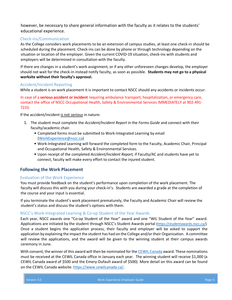however, be necessary to share general information with the faculty as it relates to the students' educational experience.

## <span id="page-7-0"></span>Check-ins/Communication

As the College considers work placements to be an extension of campus studies, at least one check-in should be scheduled during the placement. Check-ins can be done by phone or through technology depending on the situation or location of the employer. Given the current COVID-19 situation, check-ins with students and employers will be determined in consultation with the faculty.

If there are changes in a student's work assignment, or if any other unforeseen changes develop, the employer should not wait for the check-in instead notify faculty, as soon as possible. **Students may not go to a physical worksite without their faculty's approval.** 

## <span id="page-7-1"></span>Accident/Incident Reporting

While a student is on work placement it is important to contact NSCC should any accidents or incidents occur.

In case of a **serious accident or incident** requiring ambulance transport, hospitalization, or emergency care, contact the office of NSCC Occupational Health, Safety & Environmental Services IMMEDIATELY at 902-491- 7233.

If the accident/incident is not serious in nature:

- 1. The student must complete the *Accident/Incident Report* in the *Forms Guide* and connect with their faculty/academic chair.
	- Completed forms must be submitted to Work-Integrated Learning by email (WorkExperience@nscc.ca)
	- Work-Integrated Learning will forward the completed form to the Faculty, Academic Chair, Principal and Occupational Health, Safety & Environmental Services.
	- Upon receipt of the completed *Accident/Incident Report,* if Faculty/AC and students have yet to connect, faculty will make every effort to contact the injured student.

## <span id="page-7-2"></span>**Following the Work Placement**

## <span id="page-7-3"></span>Evaluation of the Work Experience

You must provide feedback on the student's performance upon completion of the work placement. The faculty will discuss this with you during your check-in's. Students are awarded a grade at the completion of the course and your input is essential.

If you terminate the student's work placement prematurely, the Faculty and Academic Chair will review the student's status and discuss the student's options with them.

## <span id="page-7-4"></span>NSCC's Work-Integrated Learning & Co-op Student of the Year Awards

Each year, NSCC awards one "Co-op Student of the Year" award and one "WIL Student of the Year" award. Applications are initiated by the student through NSCC's Student Awards portal [\(https://studentawards.nscc.ca/\)](https://studentawards.nscc.ca/). Once a student begins the application process, their faculty and employer will be asked to support the application by explaining the impact the student has had on the College and/or their Organization. A committee will review the applications, and the award will be given to the winning student at their campus awards ceremony in June.

With consent, the winner of this award will then be nominated for the [CEWIL Canada](http://www.cewilcanada.ca/) award. These nominations must be received at the CEWIL Canada office in January each year. The winning student will receive \$1,000 (a CEWIL Canada award of \$500 and the Emery-Dufault award of \$500). More detail on this award can be found on the CEWIL Canada website: [https://www.cewilcanada.ca/.](https://www.cewilcanada.ca/)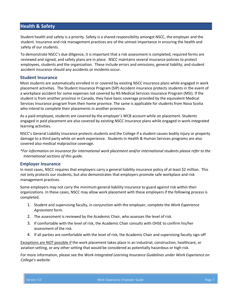## <span id="page-8-0"></span>**Health & Safety**

Student health and safety is a priority. Safety is a shared responsibility amongst NSCC, the employer and the student. Insurance and risk management practices are of the utmost importance in ensuring the health and safety of our students.

To demonstrate NSCC's due diligence, it is important that a risk assessment is completed, required forms are reviewed and signed, and safety plans are in place. NSCC maintains several insurance policies to protect employees, students and the organization. These include errors and omissions, general liability, and student accident insurance should any accidents or incidents occur.

## <span id="page-8-1"></span>**Student Insurance**

Most students are automatically enrolled in or covered by existing NSCC insurance plans while engaged in work placement activities. The Student Insurance Program (SIP) Accident insurance protects students in the event of a workplace accident for some expenses not covered by NS Medical Services Insurance Program (MSI). If the student is from another province in Canada, they have basic coverage provided by the equivalent Medical Services Insurance program from their home province. The same is applicable for students from Nova Scotia who intend to complete their placements in another province.

As a paid employee, students are covered by the employer's WCB account while on placement. Students engaged in paid placement are also covered by existing NSCC Insurance plans while engaged in work-integrated learning activities.

NSCC's General Liability insurance protects students and the College if a student causes bodily injury or property damage to a third party while on work experience. Students in Health & Human Services programs are also covered also medical malpractice coverage.

*\*For information on insurance for international work placement and/or international students please refer to the International sections of this guide.*

#### <span id="page-8-2"></span>**Employer Insurance**

In most cases, NSCC requires that employers carry a general liability insurance policy of at least \$2 million. This not only protects our students, but also demonstrates that employers promote safe workplace and risk management practices.

Some employers may not carry the minimum general liability insurance to guard against risk within their organizations. In these cases, NSCC may allow work placement with these employers if the following process is completed.

- 1. Student and supervising faculty, in conjunction with the employer, complete the *Work Experience Agreement* form.
- 2. The assessment is reviewed by the Academic Chair, who assesses the level of risk.
- 3. If comfortable with the level of risk, the Academic Chair consults with OHSE to confirm his/her assessment of the risk.
- 4. If all parties are comfortable with the level of risk, the Academic Chair and supervising faculty sign-off

Exceptions are NOT possible if the work placement takes place in an industrial, construction, healthcare, or aviation setting, or any other setting that would be considered as potentially hazardous or high risk.

For more information, please see the *Work-Integrated Learning Insurance Guidelines* under *Work Experience on College's website.*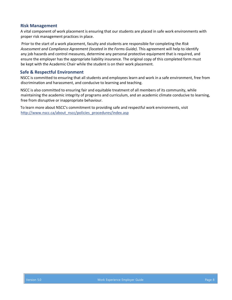#### <span id="page-9-0"></span>**Risk Management**

A vital component of work placement is ensuring that our students are placed in safe work environments with proper risk management practices in place.

Prior to the start of a work placement, faculty and students are responsible for completing the *Risk Assessment and Compliance Agreement (located in the Forms Guide)*. This agreement will help to identify any job hazards and control measures, determine any personal protective equipment that is required, and ensure the employer has the appropriate liability insurance. The original copy of this completed form must be kept with the Academic Chair while the student is on their work placement.

## <span id="page-9-1"></span>**Safe & Respectful Environment**

NSCC is committed to ensuring that all students and employees learn and work in a safe environment, free from discrimination and harassment, and conducive to learning and teaching.

NSCC is also committed to ensuring fair and equitable treatment of all members of its community, while maintaining the academic integrity of programs and curriculum, and an academic climate conducive to learning, free from disruptive or inappropriate behaviour.

To learn more about NSCC's commitment to providing safe and respectful work environments, visit [http://www.nscc.ca/about\\_nscc/policies\\_procedures/index.asp](http://www.nscc.ca/about_nscc/policies_procedures/index.asp)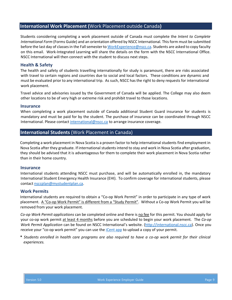## <span id="page-10-0"></span>**International Work Placement (**Work Placement outside Canada**)**

Students considering completing a work placement outside of Canada must complete the *Intent to Complete International Form* (Forms Guide) and an orientation offered by NSCC International. This form must be submitted before the last day of classes in the Fall semester to WorkExperience@nscc.ca. Students are asked to copy faculty on this email. Work-Integrated Learning will share the details on the form with the NSCC International Office. NSCC International will then connect with the student to discuss next steps.

## <span id="page-10-1"></span>**Health & Safety**

The health and safety of students travelling internationally for study is paramount, there are risks associated with travel to certain regions and countries due to social and local factors. These conditions are dynamic and must be evaluated prior to any international trip. As such, NSCC has the right to deny requests for international work placement.

Travel advice and advisories issued by the Government of Canada will be applied. The College may also deem other locations to be of very high or extreme risk and prohibit travel to those locations.

#### <span id="page-10-2"></span>**Insurance**

When completing a work placement outside of Canada additional Student Guard insurance for students is mandatory and must be paid for by the student. The purchase of insurance can be coordinated through NSCC International. Please contact international@nscc.ca to arrange insurance coverage.

## <span id="page-10-3"></span>**International Students** (Work Placement in Canada)

Completing a work placement in Nova Scotia is a proven factor to help international students find employment in Nova Scotia after they graduate. If international students intend to stay and work in Nova Scotia after graduation, they should be advised that it is advantageous for them to complete their work placement in Nova Scotia rather than in their home country.

#### <span id="page-10-4"></span>**Insurance**

International students attending NSCC must purchase, and will be automatically enrolled in, the mandatory International Student Emergency Health Insurance (EHI). To confirm coverage for international students, please contact nsccplan@mystudentplan.ca.

#### <span id="page-10-5"></span>**Work Permits**

International students are required to obtain a "Co-op Work Permit" in order to participate in any type of work placement. A "Co-op Work Permit" is different from a "Study Permit". Without a Co-op Work Permit you will be removed from your work placement.

*Co-op Work Permit applications* can be completed online and there is no fee for this permit. You should apply for your co-op work permit at least 4 months before you are scheduled to begin your work placement. The *Co-op Work Permit Application* can be found on NSCC International's website. [\(http://international.nscc.ca\).](http://international.nscc.ca/) Once you receive your "co-op work permit" you can use the [iCent app](http://international.nscc.ca/connect-with-us/) to upload a copy of your permit.

**\*** *Students enrolled in health care programs are also required to have a co-op work permit for their clinical experiences.*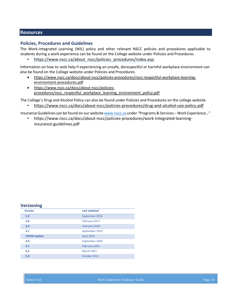## <span id="page-11-0"></span>**Resources**

## <span id="page-11-1"></span>**Policies, Procedures and Guidelines**

The Work-Integrated Learning (WIL) policy and other relevant NSCC policies and procedures applicable to students during a work experience can be found on the College website under Policies and Procedures.

[https://www.nscc.ca/about\\_nscc/policies\\_procedures/index.asp.](https://www.nscc.ca/about_nscc/policies_procedures/index.asp)

Information on how to seek help if experiencing an unsafe, disrespectful or harmful workplace environment can also be found on the College website under Policies and Procedures.

- [https://www.nscc.ca/docs/about-nscc/policies-procedures/nscc-respectful-workplace-learning](https://www.nscc.ca/docs/about-nscc/policies-procedures/nscc-respectful-workplace-learning-environment-procedures.pdf)[environment-procedures.pdf](https://www.nscc.ca/docs/about-nscc/policies-procedures/nscc-respectful-workplace-learning-environment-procedures.pdf)
- [https://www.nscc.ca/docs/about-nscc/policies](https://www.nscc.ca/docs/about-nscc/policies-procedures/nscc_respectful_workplace_learning_environment_policy.pdf)[procedures/nscc\\_respectful\\_workplace\\_learning\\_environment\\_policy.pdf](https://www.nscc.ca/docs/about-nscc/policies-procedures/nscc_respectful_workplace_learning_environment_policy.pdf)

The College's Drug and Alcohol Policy can also be found under Policies and Procedures on the college website.

• <https://www.nscc.ca/docs/about-nscc/policies-procedures/drug-and-alcohol-use-policy.pdf>

Insurance Guidelines can be found on our websit[e www.nscc.ca](http://www.nscc.ca/) under "Programs & Services – Work Experience…"

• [https://www.nscc.ca/docs/about-nscc/policies-procedures/work-integrated-learning](https://www.nscc.ca/docs/about-nscc/policies-procedures/work-integrated-learning-insurance-guidelines.pdf)[insurance-guidelines.pdf](https://www.nscc.ca/docs/about-nscc/policies-procedures/work-integrated-learning-insurance-guidelines.pdf)

#### <span id="page-11-2"></span>**Versioning**

| <b>Version</b>      | <b>Last Updated</b> |
|---------------------|---------------------|
| 1.0                 | September 2016      |
| 2.0                 | February 2017       |
| 3.0                 | February 2018       |
| 3.1                 | September 2019      |
| <b>COVID Update</b> | <b>April 2020</b>   |
| 4.0                 | September 2020      |
| 4.1                 | February 2021       |
| 4.2                 | <b>March 2021</b>   |
| 5.0                 | October 2021        |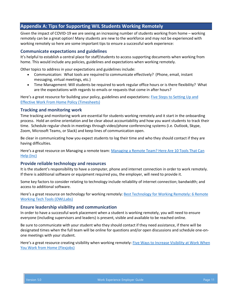## <span id="page-12-0"></span>**Appendix A: Tips for Supporting WIL Students Working Remotely**

Given the impact of COVID-19 we are seeing an increasing number of students working from home – working remotely can be a great option! Many students are new to the workforce and may not be experienced with working remotely so here are some important tips to ensure a successful work experience:

## **Communicate expectations and guidelines**

It's helpful to establish a central place for staff/students to access supporting documents when working from home. This would include any policies, guidelines and expectations when working remotely.

Other topics to address in your expectations and guidelines include:

- Communication: What tools are required to communicate effectively? (Phone, email, instant messaging, virtual meetings, etc.)
- Time Management: Will students be required to work regular office hours or is there flexibility? What are the expectations with regards to emails or requests that come in after hours?

Here's a great resource for building your policy, guidelines and expectations: [Five Steps to Setting Up and](https://www.timesheets.com/blog/2017/10/work-from-home-policy/)  [Effective Work From Home Policy \(Timesheets\)](https://www.timesheets.com/blog/2017/10/work-from-home-policy/)

## **Tracking and monitoring work**

Time tracking and monitoring work are essential for students working remotely and it start in the onboarding process. Hold an online orientation and be clear about accountability and how you want students to track their time. Schedule regular check-in meetings through video/phone conferencing systems (i.e. Outlook, Skype, Zoom, Microsoft Teams, or Slack) and keep lines of communication open.

Be clear in communicating how you expect students to log their time and who they should contact if they are having difficulties.

Here's a great resource on Managing a remote team: Managing a Remote Team? Here Are 10 Tools That Can [Help \(Inc\)](https://www.inc.com/sujan-patel/the-10-best-tools-for-managing-remote-employees.html)

## **Provide reliable technology and resources**

It is the student's responsibility to have a computer, phone and internet connection in order to work remotely. If there is additional software or equipment required you, the employer, will need to provide it.

Some key factors to consider relating to technology include reliability of internet connection; bandwidth; and access to additional software.

Here's a great resource on technology for working remotely: Best Technology for Working Remotely: 6 Remote [Working Tech Tools \(OWLLabs\)](https://www.owllabs.com/blog/remote-working-technology)

## **Ensure leadership visibility and communication**

In order to have a successful work placement when a student is working remotely, you will need to ensure everyone (including supervisors and leaders) is present, visible and available to be reached online.

Be sure to communicate with your student who they should contact if they need assistance, if there will be designated times when the full team will be online for questions and/or open discussions and schedule one-onone meetings with your student.

Here's a great resource creating visibility when working remotely: Five Ways to Increase Visibility at Work When [You Work from Home \(Flexjobs\)](https://www.flexjobs.com/blog/post/ways-increase-visibility-at-work-when-work-from-home/)